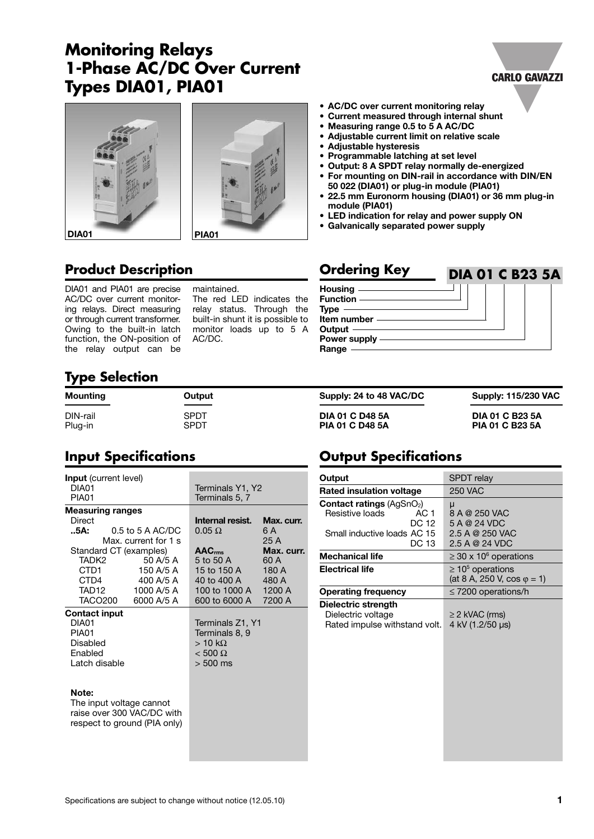# **Monitoring Relays 1-Phase AC/DC Over Current Types DIA01, PIA01**







## **Product Description Calculate Service Conduct Creaters**

DIA01 and PIA01 are precise AC/DC over current monitoring relays. Direct measuring or through current transformer. Owing to the built-in latch function, the ON-position of the relay output can be

maintained. The red LED indicates the relay status. Through the built-in shunt it is possible to monitor loads up to 5 A AC/DC.

#### **• AC/DC over current monitoring relay**

- **Current measured through internal shunt**
- **Measuring range 0.5 to 5 A AC/DC**
- **• Adjustable current limit on relative scale**
- **• Adjustable hysteresis**
- **• Programmable latching at set level**
- **Output: 8 A SPDT relay normally de-energized**
- **For mounting on DIN-rail in accordance with DIN/EN 50 022 (DIA01) or plug-in module (PIA01)**
- **22.5 mm Euronorm housing (DIA01) or 36 mm plug-in module (PIA01)**
- **LED indication for relay and power supply ON**
- **Galvanically separated power supply**

#### **Housing Function Type Item number Output Power supply Range DIA 01 C B23 5A**

## **Type Selection**

| Mounting | Output | Supply: 24 to 48 VAC/DC | <b>Supply: 115/230 VAC</b> |
|----------|--------|-------------------------|----------------------------|
| DIN-rail | SPDT   | <b>DIA 01 C D48 5A</b>  | <b>DIA 01 C B23 5A</b>     |
| Plug-in  | SPDT   | <b>PIA 01 C D48 5A</b>  | <b>PIA 01 C B23 5A</b>     |

## **Input Specifications**

| <b>Input</b> (current level) |  |                              |                    |            |
|------------------------------|--|------------------------------|--------------------|------------|
| DIA01                        |  |                              | Terminals Y1, Y2   |            |
| PIA01                        |  |                              | Terminals 5, 7     |            |
| <b>Measuring ranges</b>      |  |                              |                    |            |
| Direct                       |  |                              | Internal resist.   | Max. curr. |
| 5A:                          |  | $0.5$ to 5 A AC/DC           | $0.05 \Omega$      | 6 A        |
|                              |  | Max. current for 1 s         |                    | 25 A       |
|                              |  | Standard CT (examples)       | AAC <sub>rms</sub> | Max. curr. |
| TADK2                        |  | 50 A/5 A                     | 5 to 50 A          | 60 A       |
| CTD1                         |  | 150 A/5 A                    | 15 to 150 A        | 180 A      |
| CTD4                         |  | 400 A/5 A                    | 40 to 400 A        | 480 A      |
| TAD12                        |  | 1000 A/5 A                   | 100 to 1000 A      | 1200 A     |
| TACO200                      |  | 6000 A/5 A                   | 600 to 6000 A      | 7200 A     |
| <b>Contact input</b>         |  |                              |                    |            |
| DIA01                        |  |                              | Terminals Z1, Y1   |            |
| PIA01                        |  |                              | Terminals 8, 9     |            |
| Disabled                     |  |                              | $> 10 k\Omega$     |            |
| Fnabled                      |  | $< 500 \Omega$               |                    |            |
| Latch disable                |  |                              | $> 500$ ms         |            |
|                              |  |                              |                    |            |
|                              |  |                              |                    |            |
| Note:                        |  |                              |                    |            |
| The input voltage cannot     |  |                              |                    |            |
| raise over 300 VAC/DC with   |  |                              |                    |            |
|                              |  | respect to ground (PIA only) |                    |            |
|                              |  |                              |                    |            |
|                              |  |                              |                    |            |

## **Output Specifications**

| Output                                                                                                        | SPDT relay                                                   |  |
|---------------------------------------------------------------------------------------------------------------|--------------------------------------------------------------|--|
| <b>Rated insulation voltage</b>                                                                               | <b>250 VAC</b>                                               |  |
| <b>Contact ratings (AgSnO<sub>2</sub>)</b><br>Resistive loads<br>AC 1<br>DC 12<br>Small inductive loads AC 15 | μ<br>8 A @ 250 VAC<br>5 A @ 24 VDC<br>2.5 A @ 250 VAC        |  |
| DC 13                                                                                                         | 2.5 A @ 24 VDC                                               |  |
| <b>Mechanical life</b>                                                                                        | $\geq$ 30 x 10 <sup>6</sup> operations                       |  |
| <b>Electrical life</b>                                                                                        | $\geq 10^5$ operations<br>(at 8 A, 250 V, cos $\varphi$ = 1) |  |
| <b>Operating frequency</b>                                                                                    | $\leq$ 7200 operations/h                                     |  |
| Dielectric strength<br>Dielectric voltage<br>Rated impulse withstand volt.                                    | $\geq$ 2 kVAC (rms)<br>4 kV (1.2/50 µs)                      |  |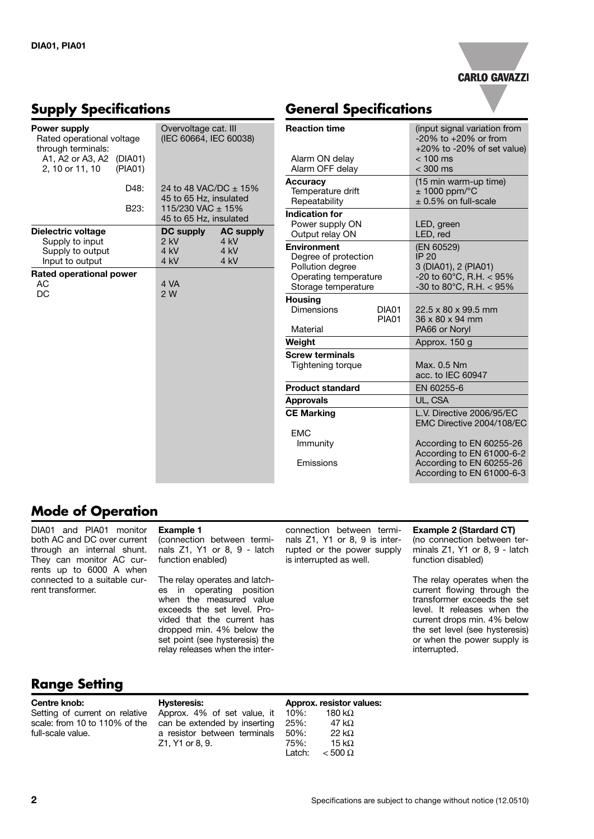

### **Supply Specifications**

| Power supply<br>Rated operational voltage<br>through terminals: |                    | Overvoltage cat. III<br>(IEC 60664, IEC 60038)                                                 |                      | Reacti                                         |
|-----------------------------------------------------------------|--------------------|------------------------------------------------------------------------------------------------|----------------------|------------------------------------------------|
| A1, A2 or A3, A2<br>2, 10 or 11, 10                             | (DIA01)<br>(PIA01) |                                                                                                |                      | Alarm<br>Alarm                                 |
|                                                                 | D48:<br>B23:       | 24 to 48 VAC/DC ± 15%<br>45 to 65 Hz, insulated<br>115/230 VAC ± 15%<br>45 to 65 Hz, insulated |                      | Accur<br>Temp<br>Repe<br><b>Indica</b><br>Powe |
| Dielectric voltage                                              |                    | <b>DC supply</b>                                                                               | <b>AC supply</b>     | Outp                                           |
| Supply to input<br>Supply to output<br>Input to output          |                    | $2$ kV<br>4 kV<br>4 kV                                                                         | 4 kV<br>4 kV<br>4 kV | <b>Enviro</b><br>Degre<br>Pollu                |
| Rated operational power<br>AC<br>DC                             |                    | 4 VA<br>2 W                                                                                    | Oper<br>Stora        |                                                |
|                                                                 |                    |                                                                                                |                      | <b>Housi</b><br>Dime                           |
|                                                                 |                    |                                                                                                |                      | Mate                                           |
|                                                                 |                    |                                                                                                |                      | Weigh                                          |
|                                                                 |                    |                                                                                                |                      | <b>Screw</b><br>Tight                          |
|                                                                 |                    |                                                                                                |                      | Produ<br>Appro<br>CE Ma                        |
|                                                                 |                    |                                                                                                |                      | <b>EMC</b><br>Imn                              |
|                                                                 |                    |                                                                                                |                      | Emi                                            |

## **General Specifications**

| <b>Reaction time</b><br>Alarm ON delay<br>Alarm OFF delay |              | (input signal variation from<br>$-20\%$ to $+20\%$ or from<br>$+20\%$ to -20% of set value)<br>$<$ 100 ms<br>$<$ 300 ms |  |
|-----------------------------------------------------------|--------------|-------------------------------------------------------------------------------------------------------------------------|--|
| Accuracy                                                  |              | (15 min warm-up time)                                                                                                   |  |
| Temperature drift<br>Repeatability                        |              | $± 1000$ ppm/ $°C$<br>$\pm$ 0.5% on full-scale                                                                          |  |
| <b>Indication for</b>                                     |              |                                                                                                                         |  |
| Power supply ON<br>Output relay ON                        |              | LED, green<br>LED, red                                                                                                  |  |
| <b>Environment</b>                                        |              | (EN 60529)                                                                                                              |  |
| Degree of protection                                      |              | IP 20                                                                                                                   |  |
| <b>Pollution degree</b>                                   |              | 3 (DIA01), 2 (PIA01)                                                                                                    |  |
| Operating temperature                                     |              | -20 to 60 $^{\circ}$ C, R.H. < 95%                                                                                      |  |
| Storage temperature                                       |              | -30 to 80 $^{\circ}$ C, R.H. < 95%                                                                                      |  |
| <b>Housing</b>                                            |              |                                                                                                                         |  |
| <b>Dimensions</b>                                         | DIA01        | $22.5 \times 80 \times 99.5$ mm                                                                                         |  |
|                                                           | <b>PIA01</b> | 36 x 80 x 94 mm                                                                                                         |  |
| Material                                                  |              | PA66 or Noryl                                                                                                           |  |
| Weight                                                    |              | Approx. 150 g                                                                                                           |  |
| <b>Screw terminals</b>                                    |              |                                                                                                                         |  |
| Tightening torque                                         |              | Max. 0.5 Nm                                                                                                             |  |
|                                                           |              | acc. to IEC 60947                                                                                                       |  |
| <b>Product standard</b>                                   |              | EN 60255-6                                                                                                              |  |
| <b>Approvals</b>                                          |              | UL. CSA                                                                                                                 |  |
| <b>CE Marking</b>                                         |              | L.V. Directive 2006/95/EC                                                                                               |  |
|                                                           |              | EMC Directive 2004/108/EC                                                                                               |  |
| <b>EMC</b>                                                |              |                                                                                                                         |  |
| Immunity                                                  |              | According to EN 60255-26                                                                                                |  |
|                                                           |              | According to EN 61000-6-2                                                                                               |  |
| Emissions                                                 |              | According to EN 60255-26                                                                                                |  |
|                                                           |              | According to EN 61000-6-3                                                                                               |  |

## **Mode of Operation**

DIA01 and PIA01 monitor both AC and DC over current through an internal shunt. They can monitor AC currents up to 6000 A when connected to a suitable current transformer.

### **Example 1**

(connection between terminals Z1, Y1 or 8, 9 - latch function enabled)

The relay operates and latches in operating position when the measured value exceeds the set level. Provided that the current has dropped min. 4% below the set point (see hysteresis) the relay releases when the inter-

connection between terminals Z1, Y1 or 8, 9 is interrupted or the power supply is interrupted as well.

#### **Example 2 (Stardard CT)**

(no connection between terminals Z1, Y1 or 8, 9 - latch function disabled)

The relay operates when the current flowing through the transformer exceeds the set level. It releases when the current drops min. 4% below the set level (see hysteresis) or when the power supply is interrupted.

## **Range Setting**

#### **Centre knob:**

Setting of current on relative scale: from 10 to 110% of the full-scale value.

#### **Hysteresis:** Approx. 4% of set value, it can be extended by inserting a resistor between terminals

Z1, Y1 or 8, 9.

**Approx. resistor values:** 180 kΩ 25%: 47 kΩ 50%: 22 kΩ 75%: 15 kΩ Latch:  $< 500 \Omega$